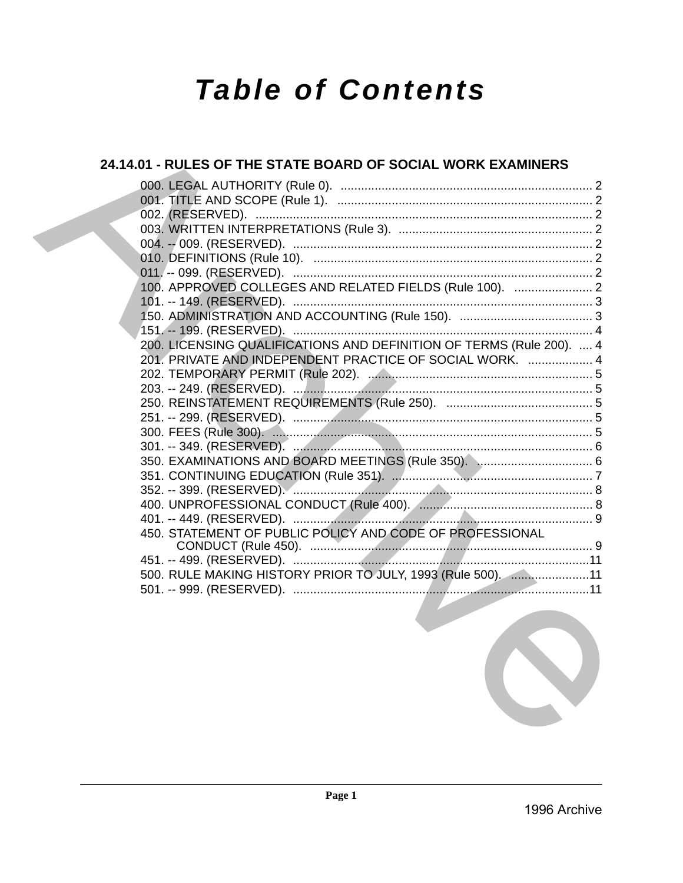# **Table of Contents**

# 24.14.01 - RULES OF THE STATE BOARD OF SOCIAL WORK EXAMINERS 100. APPROVED COLLEGES AND RELATED FIELDS (Rule 100). ....................... 2 200. LICENSING QUALIFICATIONS AND DEFINITION OF TERMS (Rule 200). .... 4 201. PRIVATE AND INDEPENDENT PRACTICE OF SOCIAL WORK. ................... 4 450. STATEMENT OF PUBLIC POLICY AND CODE OF PROFESSIONAL 500. RULE MAKING HISTORY PRIOR TO JULY, 1993 (Rule 500). ......................11

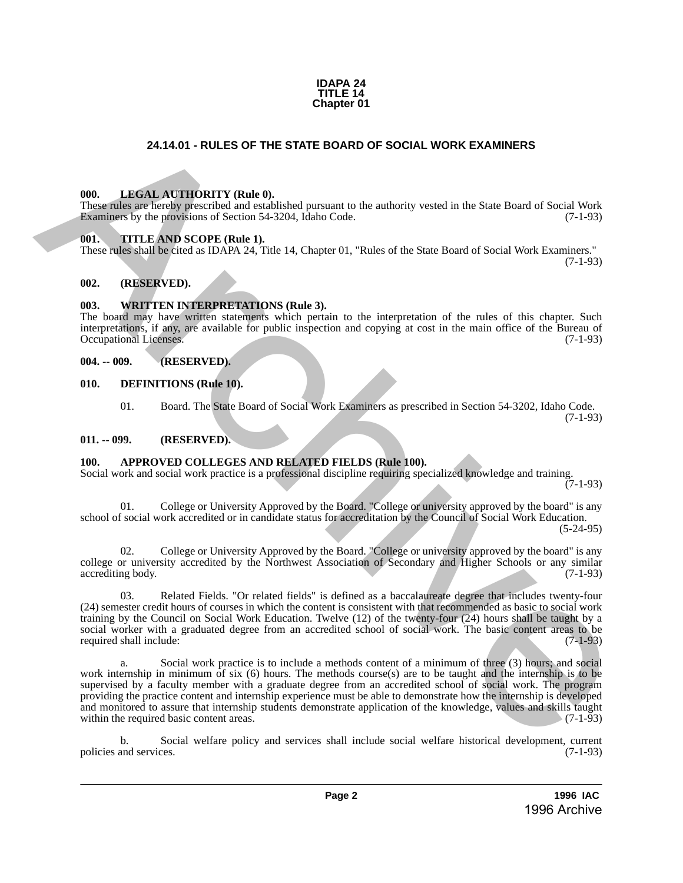

# **24.14.01 - RULES OF THE STATE BOARD OF SOCIAL WORK EXAMINERS**

#### <span id="page-1-1"></span>**000. LEGAL AUTHORITY (Rule 0).**

These rules are hereby prescribed and established pursuant to the authority vested in the State Board of Social Work Examiners by the provisions of Section 54-3204, Idaho Code. (7-1-93)

#### <span id="page-1-2"></span>**001. TITLE AND SCOPE (Rule 1).**

These rules shall be cited as IDAPA 24, Title 14, Chapter 01, "Rules of the State Board of Social Work Examiners." (7-1-93)

## <span id="page-1-3"></span>**002. (RESERVED).**

### <span id="page-1-4"></span>**003. WRITTEN INTERPRETATIONS (Rule 3).**

The board may have written statements which pertain to the interpretation of the rules of this chapter. Such interpretations, if any, are available for public inspection and copying at cost in the main office of the Bureau of Occupational Licenses.

#### <span id="page-1-5"></span>**004. -- 009. (RESERVED).**

- <span id="page-1-6"></span>**010. DEFINITIONS (Rule 10).**
	- 01. Board. The State Board of Social Work Examiners as prescribed in Section 54-3202, Idaho Code. (7-1-93)

#### <span id="page-1-7"></span>**011. -- 099. (RESERVED).**

# <span id="page-1-8"></span>**100. APPROVED COLLEGES AND RELATED FIELDS (Rule 100).**

Social work and social work practice is a professional discipline requiring specialized knowledge and training. (7-1-93)

01. College or University Approved by the Board. "College or university approved by the board" is any school of social work accredited or in candidate status for accreditation by the Council of Social Work Education. (5-24-95)

02. College or University Approved by the Board. "College or university approved by the board" is any college or university accredited by the Northwest Association of Secondary and Higher Schools or any similar accrediting body. (7-1-93) accrediting body.

03. Related Fields. "Or related fields" is defined as a baccalaureate degree that includes twenty-four (24) semester credit hours of courses in which the content is consistent with that recommended as basic to social work training by the Council on Social Work Education. Twelve (12) of the twenty-four (24) hours shall be taught by a social worker with a graduated degree from an accredited school of social work. The basic content areas to be required shall include: (7-1-93) required shall include:

<span id="page-1-0"></span>a. Social work practice is to include a methods content of a minimum of three (3) hours; and social work internship in minimum of six (6) hours. The methods course(s) are to be taught and the internship is to be supervised by a faculty member with a graduate degree from an accredited school of social work. The program providing the practice content and internship experience must be able to demonstrate how the internship is developed and monitored to assure that internship students demonstrate application of the knowledge, values and skills taught within the required basic content areas. (7-1-93) within the required basic content areas. **24.14.01 - RULES OF THE STATE BOARD OF SOCIAL WORK EXAMINERS<br>
THE LANGEL ACTIVISTITY (Buthell).**<br>
The LANGEL ACTIVISTITY (Buthell).<br>
The LANGEL ACTIVISTITY (Buthell).<br>
The LANGEL AND CONFIGURATIONS (See the multiplier of

b. Social welfare policy and services shall include social welfare historical development, current policies and services. (7-1-93)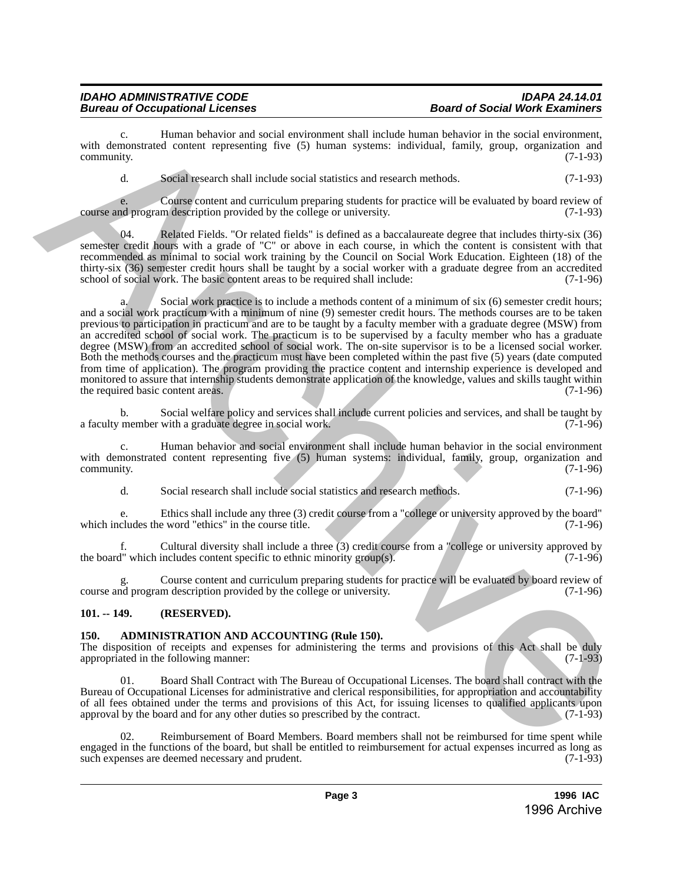c. Human behavior and social environment shall include human behavior in the social environment, with demonstrated content representing five (5) human systems: individual, family, group, organization and community. (7-1-93) community. (7-1-93)

d. Social research shall include social statistics and research methods. (7-1-93)

e. Course content and curriculum preparing students for practice will be evaluated by board review of course and program description provided by the college or university. (7-1-93)

Related Fields. "Or related fields" is defined as a baccalaureate degree that includes thirty-six (36) semester credit hours with a grade of "C" or above in each course, in which the content is consistent with that recommended as minimal to social work training by the Council on Social Work Education. Eighteen (18) of the thirty-six (36) semester credit hours shall be taught by a social worker with a graduate degree from an accredited school of social work. The basic content areas to be required shall include: (7-1-96) school of social work. The basic content areas to be required shall include:

a. Social work practice is to include a methods content of a minimum of six (6) semester credit hours; and a social work practicum with a minimum of nine (9) semester credit hours. The methods courses are to be taken previous to participation in practicum and are to be taught by a faculty member with a graduate degree (MSW) from an accredited school of social work. The practicum is to be supervised by a faculty member who has a graduate degree (MSW) from an accredited school of social work. The on-site supervisor is to be a licensed social worker. Both the methods courses and the practicum must have been completed within the past five (5) years (date computed from time of application). The program providing the practice content and internship experience is developed and monitored to assure that internship students demonstrate application of the knowledge, values and skills taught within the required basic content areas. (7-1-96) with demonstrant behavior and such a revival in the theorem is the behavior hand hence the period of the state of the state of the state of the state of the state of the state of the state of the state of the state of the

b. Social welfare policy and services shall include current policies and services, and shall be taught by member with a graduate degree in social work. (7-1-96) a faculty member with a graduate degree in social work.

Human behavior and social environment shall include human behavior in the social environment with demonstrated content representing five (5) human systems: individual, family, group, organization and community. (7-1-96)  $\epsilon$  (7-1-96) (7-1-96)

d. Social research shall include social statistics and research methods. (7-1-96)

e. Ethics shall include any three (3) credit course from a "college or university approved by the board" which includes the word "ethics" in the course title.

f. Cultural diversity shall include a three (3) credit course from a "college or university approved by the board" which includes content specific to ethnic minority group(s). (7-1-96)

g. Course content and curriculum preparing students for practice will be evaluated by board review of course and program description provided by the college or university. (7-1-96)

# <span id="page-2-0"></span>**101. -- 149. (RESERVED).**

# <span id="page-2-1"></span>**150. ADMINISTRATION AND ACCOUNTING (Rule 150).**

The disposition of receipts and expenses for administering the terms and provisions of this Act shall be duly appropriated in the following manner: (7-1-93)

01. Board Shall Contract with The Bureau of Occupational Licenses. The board shall contract with the Bureau of Occupational Licenses for administrative and clerical responsibilities, for appropriation and accountability of all fees obtained under the terms and provisions of this Act, for issuing licenses to qualified applicants upon approval by the board and for any other duties so prescribed by the contract. approval by the board and for any other duties so prescribed by the contract.

02. Reimbursement of Board Members. Board members shall not be reimbursed for time spent while engaged in the functions of the board, but shall be entitled to reimbursement for actual expenses incurred as long as such expenses are deemed necessary and prudent. (7-1-93) such expenses are deemed necessary and prudent.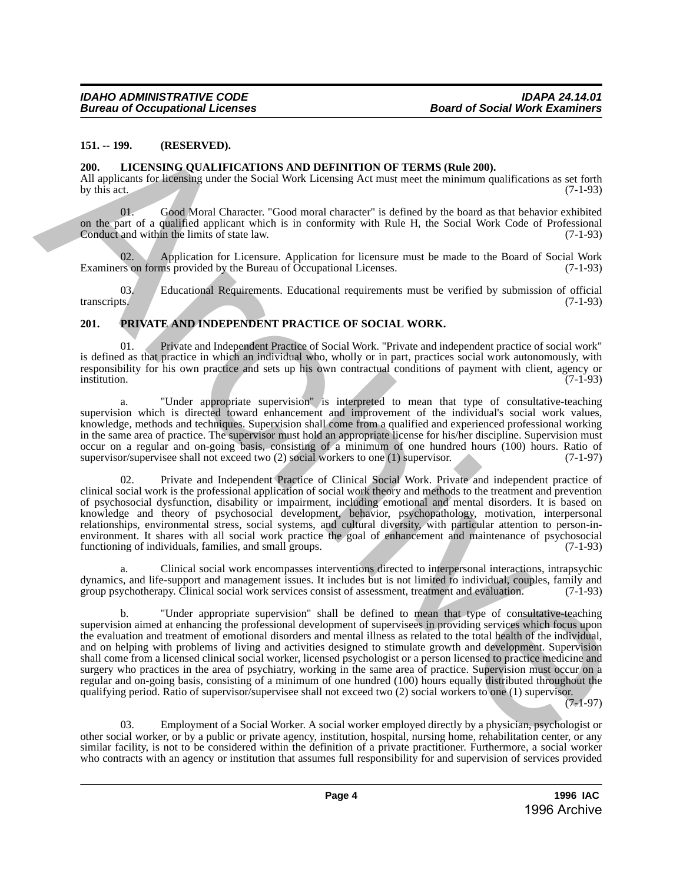#### <span id="page-3-0"></span>**151. -- 199. (RESERVED).**

#### <span id="page-3-1"></span>**200. LICENSING QUALIFICATIONS AND DEFINITION OF TERMS (Rule 200).**

All applicants for licensing under the Social Work Licensing Act must meet the minimum qualifications as set forth by this act. (7-1-93) by this act.  $(7-1-93)$ 

Good Moral Character. "Good moral character" is defined by the board as that behavior exhibited on the part of a qualified applicant which is in conformity with Rule H, the Social Work Code of Professional Conduct and within the limits of state law. (7-1-93)

Application for Licensure. Application for licensure must be made to the Board of Social Work ms provided by the Bureau of Occupational Licenses. (7-1-93) Examiners on forms provided by the Bureau of Occupational Licenses.

03. Educational Requirements. Educational requirements must be verified by submission of official ts. (7-1-93) transcripts. (7-1-93)

### <span id="page-3-2"></span>**201. PRIVATE AND INDEPENDENT PRACTICE OF SOCIAL WORK.**

01. Private and Independent Practice of Social Work. "Private and independent practice of social work" is defined as that practice in which an individual who, wholly or in part, practices social work autonomously, with responsibility for his own practice and sets up his own contractual conditions of payment with client, agency or institution. institution. (7-1-93)

a. "Under appropriate supervision" is interpreted to mean that type of consultative-teaching supervision which is directed toward enhancement and improvement of the individual's social work values, knowledge, methods and techniques. Supervision shall come from a qualified and experienced professional working in the same area of practice. The supervisor must hold an appropriate license for his/her discipline. Supervision must occur on a regular and on-going basis, consisting of a minimum of one hundred hours (100) hours. Ratio of supervisor/supervises shall not exceed two (2) social workers to one (1) supervisor. (7-1-97) supervisor/supervisee shall not exceed two  $(2)$  social workers to one  $(1)$  supervisor.

02. Private and Independent Practice of Clinical Social Work. Private and independent practice of clinical social work is the professional application of social work theory and methods to the treatment and prevention of psychosocial dysfunction, disability or impairment, including emotional and mental disorders. It is based on knowledge and theory of psychosocial development, behavior, psychopathology, motivation, interpersonal relationships, environmental stress, social systems, and cultural diversity, with particular attention to person-inenvironment. It shares with all social work practice the goal of enhancement and maintenance of psychosocial functioning of individuals, families, and small groups. (7-1-93) functioning of individuals, families, and small groups.

a. Clinical social work encompasses interventions directed to interpersonal interactions, intrapsychic dynamics, and life-support and management issues. It includes but is not limited to individual, couples, family and group psychotherapy. Clinical social work services consist of assessment, treatment and evaluation. (7-1-93)

b. "Under appropriate supervision" shall be defined to mean that type of consultative-teaching supervision aimed at enhancing the professional development of supervisees in providing services which focus upon the evaluation and treatment of emotional disorders and mental illness as related to the total health of the individual, and on helping with problems of living and activities designed to stimulate growth and development. Supervision shall come from a licensed clinical social worker, licensed psychologist or a person licensed to practice medicine and surgery who practices in the area of psychiatry, working in the same area of practice. Supervision must occur on a regular and on-going basis, consisting of a minimum of one hundred (100) hours equally distributed throughout the qualifying period. Ratio of supervisor/supervisee shall not exceed two (2) social workers to one (1) supervisor. 181. – 199. (RESERVED), COLLEGER POINT (TON OF TENS (Rele 200).<br>
200. LICENSING COLLEGER IN CORRECTION OF TENS (Rele 200).<br>
All applicants to let the space in the social Work Lettning Act man another the simulation of the

 $(7-1-97)$ 

03. Employment of a Social Worker. A social worker employed directly by a physician, psychologist or other social worker, or by a public or private agency, institution, hospital, nursing home, rehabilitation center, or any similar facility, is not to be considered within the definition of a private practitioner. Furthermore, a social worker who contracts with an agency or institution that assumes full responsibility for and supervision of services provided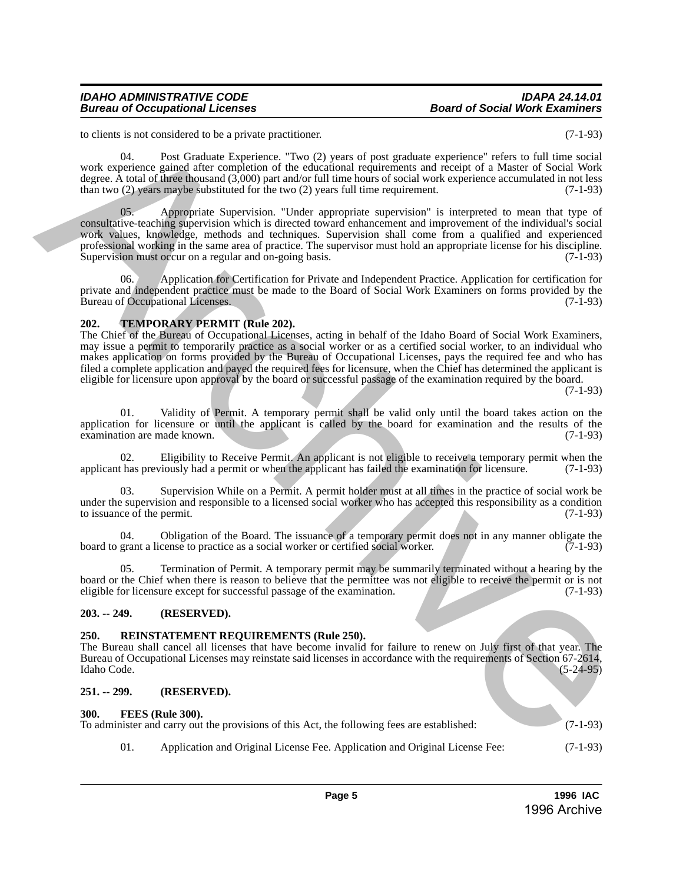to clients is not considered to be a private practitioner. (7-1-93)

 04. Post Graduate Experience. "Two (2) years of post graduate experience" refers to full time social work experience gained after completion of the educational requirements and receipt of a Master of Social Work degree. A total of three thousand (3,000) part and/or full time hours of social work experience accumulated in not less than two (2) years maybe substituted for the two (2) years full time requirement. (7-1-93)

Appropriate Supervision. "Under appropriate supervision" is interpreted to mean that type of consultative-teaching supervision which is directed toward enhancement and improvement of the individual's social work values, knowledge, methods and techniques. Supervision shall come from a qualified and experienced professional working in the same area of practice. The supervisor must hold an appropriate license for his discipline.<br>Supervision must occur on a regular and on-going basis. (7-1-93) Supervision must occur on a regular and on-going basis. In chemical on the provision of the chemical one of the spin of the spin of the spin of the spin of the spin of the spin of the spin of the spin of the spin of the spin of the spin of the spin of the spin of the spin of t

06. Application for Certification for Private and Independent Practice. Application for certification for private and independent practice must be made to the Board of Social Work Examiners on forms provided by the Bureau of Occupational Licenses. (7-1-93) Bureau of Occupational Licenses.

### <span id="page-4-0"></span>**202. TEMPORARY PERMIT (Rule 202).**

The Chief of the Bureau of Occupational Licenses, acting in behalf of the Idaho Board of Social Work Examiners, may issue a permit to temporarily practice as a social worker or as a certified social worker, to an individual who makes application on forms provided by the Bureau of Occupational Licenses, pays the required fee and who has filed a complete application and payed the required fees for licensure, when the Chief has determined the applicant is eligible for licensure upon approval by the board or successful passage of the examination required by the board.

(7-1-93)

01. Validity of Permit. A temporary permit shall be valid only until the board takes action on the application for licensure or until the applicant is called by the board for examination and the results of the examination are made known.  $(7-1-93)$ examination are made known.

02. Eligibility to Receive Permit. An applicant is not eligible to receive a temporary permit when the thas previously had a permit or when the applicant has failed the examination for licensure. (7-1-93) applicant has previously had a permit or when the applicant has failed the examination for licensure.

Supervision While on a Permit. A permit holder must at all times in the practice of social work be under the supervision and responsible to a licensed social worker who has accepted this responsibility as a condition to issuance of the permit. (7-1-93) to issuance of the permit.

04. Obligation of the Board. The issuance of a temporary permit does not in any manner obligate the grant a license to practice as a social worker or certified social worker. (7-1-93) board to grant a license to practice as a social worker or certified social worker.

05. Termination of Permit. A temporary permit may be summarily terminated without a hearing by the board or the Chief when there is reason to believe that the permittee was not eligible to receive the permit or is not eligible for licensure except for successful passage of the examination. (7-1-93)

# <span id="page-4-1"></span>**203. -- 249. (RESERVED).**

#### <span id="page-4-2"></span>**250. REINSTATEMENT REQUIREMENTS (Rule 250).**

The Bureau shall cancel all licenses that have become invalid for failure to renew on July first of that year. The Bureau of Occupational Licenses may reinstate said licenses in accordance with the requirements of Section 67-2614, Idaho Code. (5-24-95) Idaho Code. (5-24-95)

#### <span id="page-4-3"></span>**251. -- 299. (RESERVED).**

#### <span id="page-4-4"></span>**300. FEES (Rule 300).**

To administer and carry out the provisions of this Act, the following fees are established: (7-1-93)

01. Application and Original License Fee. Application and Original License Fee: (7-1-93)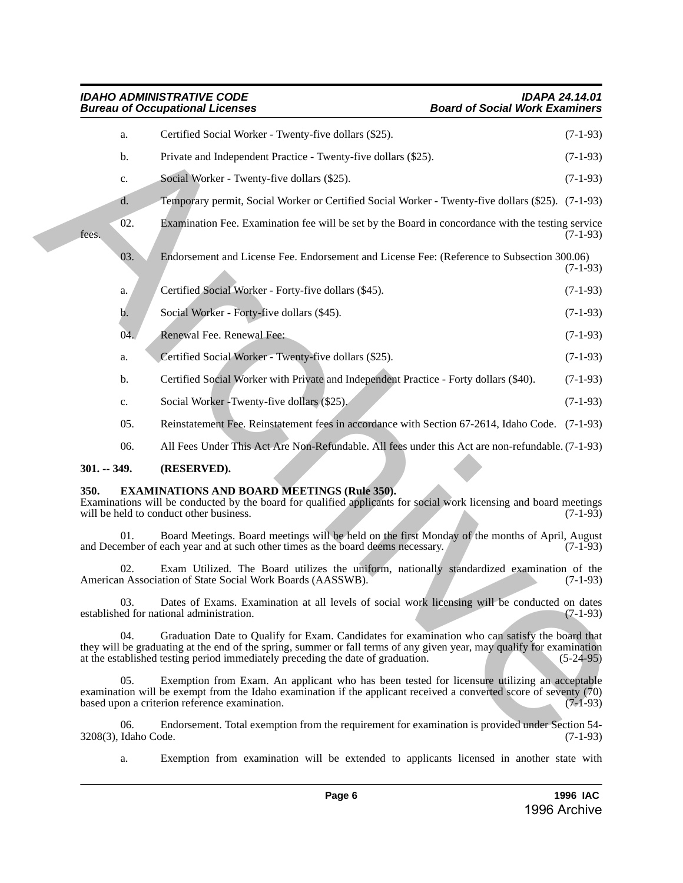#### *IDAHO ADMINISTRATIVE CODE IDAPA 24.14.01 Bureau of Occupational Licenses Board of Social Work Examiners*

|  |                                                                                                                                                                                                                                          | a.                          | Certified Social Worker - Twenty-five dollars (\$25).                                                                                                                                                                                                                                                      | $(7-1-93)$  |  |  |  |
|--|------------------------------------------------------------------------------------------------------------------------------------------------------------------------------------------------------------------------------------------|-----------------------------|------------------------------------------------------------------------------------------------------------------------------------------------------------------------------------------------------------------------------------------------------------------------------------------------------------|-------------|--|--|--|
|  |                                                                                                                                                                                                                                          | b.                          | Private and Independent Practice - Twenty-five dollars (\$25).                                                                                                                                                                                                                                             | $(7-1-93)$  |  |  |  |
|  |                                                                                                                                                                                                                                          | c.                          | Social Worker - Twenty-five dollars (\$25).                                                                                                                                                                                                                                                                | $(7-1-93)$  |  |  |  |
|  |                                                                                                                                                                                                                                          | d.                          | Temporary permit, Social Worker or Certified Social Worker - Twenty-five dollars (\$25). (7-1-93)                                                                                                                                                                                                          |             |  |  |  |
|  | fees.                                                                                                                                                                                                                                    | 02.                         | Examination Fee. Examination fee will be set by the Board in concordance with the testing service                                                                                                                                                                                                          | $(7-1-93)$  |  |  |  |
|  |                                                                                                                                                                                                                                          | 03.                         | Endorsement and License Fee. Endorsement and License Fee: (Reference to Subsection 300.06)                                                                                                                                                                                                                 | $(7-1-93)$  |  |  |  |
|  |                                                                                                                                                                                                                                          | a.                          | Certified Social Worker - Forty-five dollars (\$45).                                                                                                                                                                                                                                                       | $(7-1-93)$  |  |  |  |
|  |                                                                                                                                                                                                                                          | b.                          | Social Worker - Forty-five dollars (\$45).                                                                                                                                                                                                                                                                 | $(7-1-93)$  |  |  |  |
|  |                                                                                                                                                                                                                                          | 04.                         | Renewal Fee. Renewal Fee:                                                                                                                                                                                                                                                                                  | $(7-1-93)$  |  |  |  |
|  |                                                                                                                                                                                                                                          | a.                          | Certified Social Worker - Twenty-five dollars (\$25).                                                                                                                                                                                                                                                      | $(7-1-93)$  |  |  |  |
|  |                                                                                                                                                                                                                                          | b.                          | Certified Social Worker with Private and Independent Practice - Forty dollars (\$40).                                                                                                                                                                                                                      | $(7-1-93)$  |  |  |  |
|  |                                                                                                                                                                                                                                          | c.                          | Social Worker - Twenty-five dollars (\$25).                                                                                                                                                                                                                                                                | $(7-1-93)$  |  |  |  |
|  |                                                                                                                                                                                                                                          | 05.                         | Reinstatement Fee. Reinstatement fees in accordance with Section 67-2614, Idaho Code. (7-1-93)                                                                                                                                                                                                             |             |  |  |  |
|  |                                                                                                                                                                                                                                          | 06.                         | All Fees Under This Act Are Non-Refundable. All fees under this Act are non-refundable. (7-1-93)                                                                                                                                                                                                           |             |  |  |  |
|  | $301. - 349.$                                                                                                                                                                                                                            |                             | (RESERVED).                                                                                                                                                                                                                                                                                                |             |  |  |  |
|  | <b>EXAMINATIONS AND BOARD MEETINGS (Rule 350).</b><br>350.<br>Examinations will be conducted by the board for qualified applicants for social work licensing and board meetings<br>will be held to conduct other business.<br>$(7-1-93)$ |                             |                                                                                                                                                                                                                                                                                                            |             |  |  |  |
|  |                                                                                                                                                                                                                                          | 01.                         | Board Meetings. Board meetings will be held on the first Monday of the months of April, August<br>and December of each year and at such other times as the board deems necessary.                                                                                                                          | $(7-1-93)$  |  |  |  |
|  |                                                                                                                                                                                                                                          | 02.                         | Exam Utilized. The Board utilizes the uniform, nationally standardized examination of the<br>American Association of State Social Work Boards (AASSWB).                                                                                                                                                    | $(7-1-93)$  |  |  |  |
|  |                                                                                                                                                                                                                                          | 03.                         | Dates of Exams. Examination at all levels of social work licensing will be conducted on dates<br>established for national administration.                                                                                                                                                                  | $(7-1-93)$  |  |  |  |
|  |                                                                                                                                                                                                                                          | 04.                         | Graduation Date to Qualify for Exam. Candidates for examination who can satisfy the board that<br>they will be graduating at the end of the spring, summer or fall terms of any given year, may qualify for examination<br>at the established testing period immediately preceding the date of graduation. | $(5-24-95)$ |  |  |  |
|  |                                                                                                                                                                                                                                          | 05.                         | Exemption from Exam. An applicant who has been tested for licensure utilizing an acceptable<br>examination will be exempt from the Idaho examination if the applicant received a converted score of seventy (70)<br>based upon a criterion reference examination.                                          | $(7-1-93)$  |  |  |  |
|  |                                                                                                                                                                                                                                          | 06.<br>3208(3), Idaho Code. | Endorsement. Total exemption from the requirement for examination is provided under Section 54-                                                                                                                                                                                                            | $(7-1-93)$  |  |  |  |

# <span id="page-5-0"></span>**301. -- 349. (RESERVED).**

# <span id="page-5-1"></span>**350. EXAMINATIONS AND BOARD MEETINGS (Rule 350).**

a. Exemption from examination will be extended to applicants licensed in another state with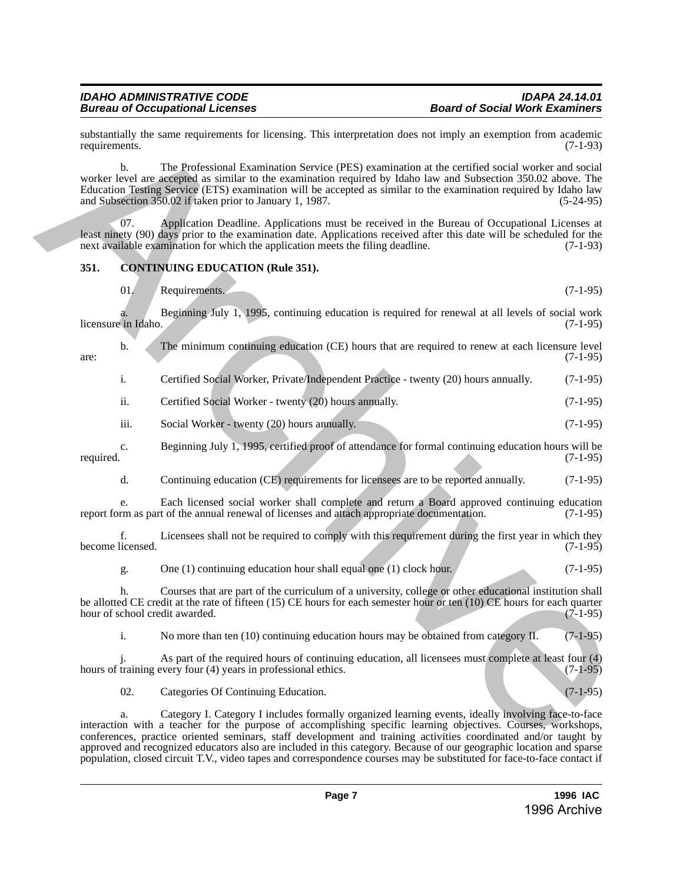substantially the same requirements for licensing. This interpretation does not imply an exemption from academic requirements. (7-1-93) requirements. (7-1-93)

b. The Professional Examination Service (PES) examination at the certified social worker and social worker level are accepted as similar to the examination required by Idaho law and Subsection 350.02 above. The Education Testing Service (ETS) examination will be accepted as similar to the examination required by Idaho law and Subsection 350.02 if taken prior to January 1, 1987. substituting the same requirements for literation (Fits interpretation dues not inequality) and complete them archives  $(7-149)$ <br>  $(7-189)$  would be a The Rosterston Extendibution Scrib continuation at the contribution wi

07. Application Deadline. Applications must be received in the Bureau of Occupational Licenses at least ninety (90) days prior to the examination date. Applications received after this date will be scheduled for the next available examination for which the application meets the filing deadline. (7-1-93)

# <span id="page-6-0"></span>**351. CONTINUING EDUCATION (Rule 351).**

01. Requirements. (7-1-95)

a. Beginning July 1, 1995, continuing education is required for renewal at all levels of social work licensure in Idaho.

b. The minimum continuing education (CE) hours that are required to renew at each licensure level (7-1-95)  $\frac{1}{2}$  are: (7-1-95)

|  |  |  |  | Certified Social Worker, Private/Independent Practice - twenty (20) hours annually. | $(7-1-95)$ |
|--|--|--|--|-------------------------------------------------------------------------------------|------------|
|--|--|--|--|-------------------------------------------------------------------------------------|------------|

ii. Certified Social Worker - twenty (20) hours annually. (7-1-95)

- iii. Social Worker twenty (20) hours annually. (7-1-95)
- c. Beginning July 1, 1995, certified proof of attendance for formal continuing education hours will be required. (7-1-95)
	- d. Continuing education (CE) requirements for licensees are to be reported annually. (7-1-95)

e. Each licensed social worker shall complete and return a Board approved continuing education rm as part of the annual renewal of licenses and attach appropriate documentation. (7-1-95) report form as part of the annual renewal of licenses and attach appropriate documentation.

f. Licensees shall not be required to comply with this requirement during the first year in which they become licensed.

g. One (1) continuing education hour shall equal one (1) clock hour. (7-1-95)

h. Courses that are part of the curriculum of a university, college or other educational institution shall be allotted CE credit at the rate of fifteen (15) CE hours for each semester hour or ten (10) CE hours for each quarter hour of school credit awarded. (7-1-95) hour of school credit awarded.

i. No more than ten (10) continuing education hours may be obtained from category II. (7-1-95)

As part of the required hours of continuing education, all licensees must complete at least four (4) years in professional ethics. (7-1-95) hours of training every four  $(4)$  years in professional ethics.

02. Categories Of Continuing Education. (7-1-95)

a. Category I. Category I includes formally organized learning events, ideally involving face-to-face interaction with a teacher for the purpose of accomplishing specific learning objectives. Courses, workshops, conferences, practice oriented seminars, staff development and training activities coordinated and/or taught by approved and recognized educators also are included in this category. Because of our geographic location and sparse population, closed circuit T.V., video tapes and correspondence courses may be substituted for face-to-face contact if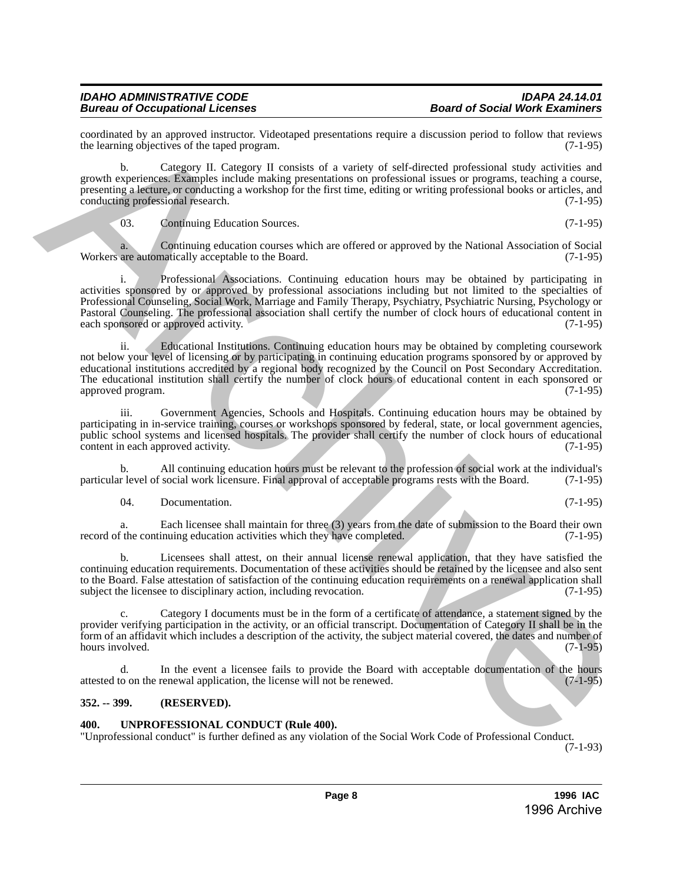coordinated by an approved instructor. Videotaped presentations require a discussion period to follow that reviews the learning objectives of the taped program. the learning objectives of the taped program.

b. Category II. Category II consists of a variety of self-directed professional study activities and growth experiences. Examples include making presentations on professional issues or programs, teaching a course, presenting a lecture, or conducting a workshop for the first time, editing or writing professional books or articles, and conducting professional research. (7-1-95) conducting professional research.

03. Continuing Education Sources. (7-1-95)

a. Continuing education courses which are offered or approved by the National Association of Social are automatically acceptable to the Board. (7-1-95) Workers are automatically acceptable to the Board.

Professional Associations. Continuing education hours may be obtained by participating in activities sponsored by or approved by professional associations including but not limited to the specialties of Professional Counseling, Social Work, Marriage and Family Therapy, Psychiatry, Psychiatric Nursing, Psychology or Pastoral Counseling. The professional association shall certify the number of clock hours of educational content in each sponsored or approved activity. continually, as a specific transferance continue of a virtuos require a discussion period of the specific of the specific of the specific of the specific of the specific of the specific of the specific of the specific of

ii. Educational Institutions. Continuing education hours may be obtained by completing coursework not below your level of licensing or by participating in continuing education programs sponsored by or approved by educational institutions accredited by a regional body recognized by the Council on Post Secondary Accreditation. The educational institution shall certify the number of clock hours of educational content in each sponsored or approved program. (7-1-95)

iii. Government Agencies, Schools and Hospitals. Continuing education hours may be obtained by participating in in-service training, courses or workshops sponsored by federal, state, or local government agencies, public school systems and licensed hospitals. The provider shall certify the number of clock hours of educational content in each approved activity. (7-1-95) content in each approved activity.

b. All continuing education hours must be relevant to the profession of social work at the individual's r level of social work licensure. Final approval of acceptable programs rests with the Board. (7-1-95) particular level of social work licensure. Final approval of acceptable programs rests with the Board.

04. Documentation. (7-1-95)

a. Each licensee shall maintain for three (3) years from the date of submission to the Board their own f the continuing education activities which they have completed. (7-1-95) record of the continuing education activities which they have completed.

b. Licensees shall attest, on their annual license renewal application, that they have satisfied the continuing education requirements. Documentation of these activities should be retained by the licensee and also sent to the Board. False attestation of satisfaction of the continuing education requirements on a renewal application shall subject the licensee to disciplinary action, including revocation. (7-1-95)

c. Category I documents must be in the form of a certificate of attendance, a statement signed by the provider verifying participation in the activity, or an official transcript. Documentation of Category II shall be in the form of an affidavit which includes a description of the activity, the subject material covered, the dates and number of hours involved.

d. In the event a licensee fails to provide the Board with acceptable documentation of the hours to on the renewal application, the license will not be renewed. (7-1-95) attested to on the renewal application, the license will not be renewed.

# <span id="page-7-0"></span>**352. -- 399. (RESERVED).**

# <span id="page-7-1"></span>**400. UNPROFESSIONAL CONDUCT (Rule 400).**

"Unprofessional conduct" is further defined as any violation of the Social Work Code of Professional Conduct.

(7-1-93)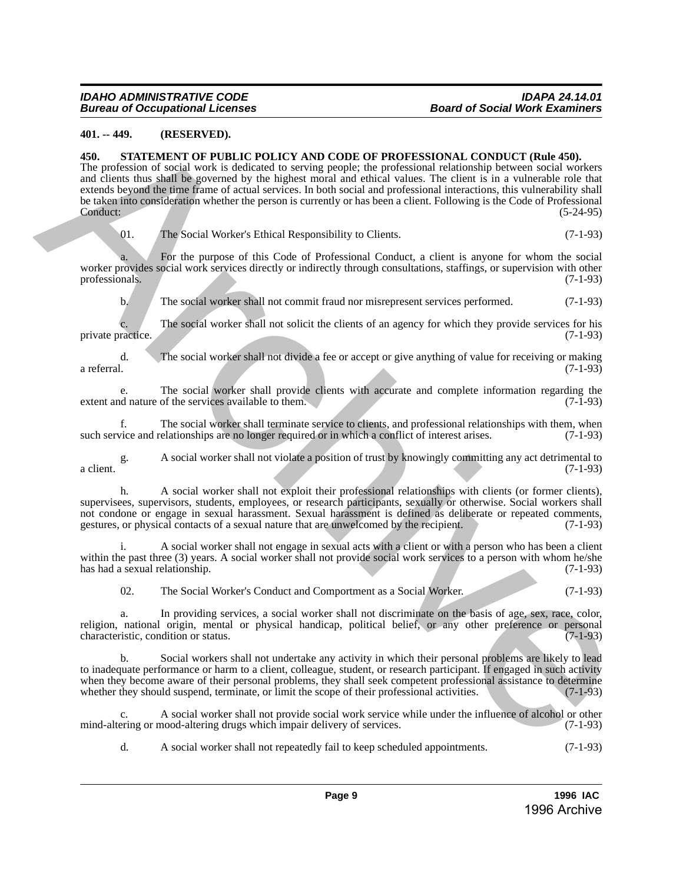# <span id="page-8-0"></span>**401. -- 449. (RESERVED).**

#### <span id="page-8-1"></span>**450. STATEMENT OF PUBLIC POLICY AND CODE OF PROFESSIONAL CONDUCT (Rule 450).**

The profession of social work is dedicated to serving people; the professional relationship between social workers and clients thus shall be governed by the highest moral and ethical values. The client is in a vulnerable role that extends beyond the time frame of actual services. In both social and professional interactions, this vulnerability shall be taken into consideration whether the person is currently or has been a client. Following is the Code of Professional Conduct: (5-24-95) **49. 49. CHO MANA CONFIGUATION CONFIGUATION CONFIGUATION** (**CANFIGUATION**) **CONFIGUATION CONFIGUATION CONFIGUATION CONFIGUATION CONFIGUATION CONFIGUATION CONFIGUATION CONFIGUATION CONFIGUATION CONFIG** 

01. The Social Worker's Ethical Responsibility to Clients. (7-1-93)

a. For the purpose of this Code of Professional Conduct, a client is anyone for whom the social worker provides social work services directly or indirectly through consultations, staffings, or supervision with other professionals. (7-1-93) professionals. (7-1-93)

b. The social worker shall not commit fraud nor misrepresent services performed. (7-1-93)

c. The social worker shall not solicit the clients of an agency for which they provide services for his private practice. (7-1-93)

d. The social worker shall not divide a fee or accept or give anything of value for receiving or making a referral. (7-1-93)

e. The social worker shall provide clients with accurate and complete information regarding the extent and nature of the services available to them. (7-1-93)

f. The social worker shall terminate service to clients, and professional relationships with them, when vice and relationships are no longer required or in which a conflict of interest arises. (7-1-93) such service and relationships are no longer required or in which a conflict of interest arises.

g. A social worker shall not violate a position of trust by knowingly committing any act detrimental to a client.  $(7-1-93)$ 

h. A social worker shall not exploit their professional relationships with clients (or former clients), supervisees, supervisors, students, employees, or research participants, sexually or otherwise. Social workers shall not condone or engage in sexual harassment. Sexual harassment is defined as deliberate or repeated comments, gestures, or physical contacts of a sexual nature that are unwelcomed by the recipient. (7-1-93)

A social worker shall not engage in sexual acts with a client or with a person who has been a client within the past three (3) years. A social worker shall not provide social work services to a person with whom he/she has had a sexual relationship.  $(7-1-93)$ has had a sexual relationship.

02. The Social Worker's Conduct and Comportment as a Social Worker. (7-1-93)

a. In providing services, a social worker shall not discriminate on the basis of age, sex, race, color, religion, national origin, mental or physical handicap, political belief, or any other preference or personal characteristic condition or status. characteristic, condition or status.

b. Social workers shall not undertake any activity in which their personal problems are likely to lead to inadequate performance or harm to a client, colleague, student, or research participant. If engaged in such activity when they become aware of their personal problems, they shall seek competent professional assistance to determine<br>whether they should suspend, terminate, or limit the scope of their professional activities. whether they should suspend, terminate, or limit the scope of their professional activities.

c. A social worker shall not provide social work service while under the influence of alcohol or other mind-altering or mood-altering drugs which impair delivery of services. (7-1-93)

d. A social worker shall not repeatedly fail to keep scheduled appointments. (7-1-93)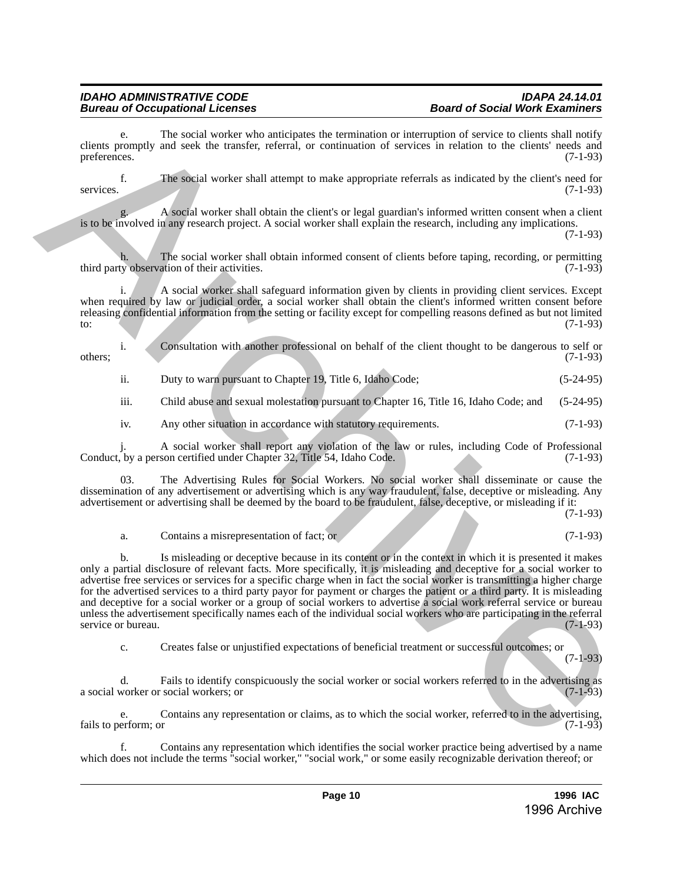### *IDAHO ADMINISTRATIVE CODE IDAPA 24.14.01 Bureau of Occupational Licenses Board of Social Work Examiners*

The social worker who anticipates the termination or interruption of service to clients shall notify clients promptly and seek the transfer, referral, or continuation of services in relation to the clients' needs and preferences. (7-1-93)

f. The social worker shall attempt to make appropriate referrals as indicated by the client's need for services. (7-1-93)

g. A social worker shall obtain the client's or legal guardian's informed written consent when a client is to be involved in any research project. A social worker shall explain the research, including any implications.

(7-1-93)

The social worker shall obtain informed consent of clients before taping, recording, or permitting ation of their activities.  $(7-1-93)$ third party observation of their activities.

i. A social worker shall safeguard information given by clients in providing client services. Except when required by law or judicial order, a social worker shall obtain the client's informed written consent before releasing confidential information from the setting or facility except for compelling reasons defined as but not limited  $(7-1-93)$ 

i. Consultation with another professional on behalf of the client thought to be dangerous to self or others; (7-1-93)

ii. Duty to warn pursuant to Chapter 19, Title 6, Idaho Code; (5-24-95)

iii. Child abuse and sexual molestation pursuant to Chapter 16, Title 16, Idaho Code; and (5-24-95)

iv. Any other situation in accordance with statutory requirements. (7-1-93)

j. A social worker shall report any violation of the law or rules, including Code of Professional Conduct, by a person certified under Chapter 32, Title 54, Idaho Code.

03. The Advertising Rules for Social Workers. No social worker shall disseminate or cause the dissemination of any advertisement or advertising which is any way fraudulent, false, deceptive or misleading. Any advertisement or advertising shall be deemed by the board to be fraudulent, false, deceptive, or misleading if it:

(7-1-93)

(7-1-93)

# a. Contains a misrepresentation of fact; or (7-1-93)

b. Is misleading or deceptive because in its content or in the context in which it is presented it makes only a partial disclosure of relevant facts. More specifically, it is misleading and deceptive for a social worker to advertise free services or services for a specific charge when in fact the social worker is transmitting a higher charge for the advertised services to a third party payor for payment or charges the patient or a third party. It is misleading and deceptive for a social worker or a group of social workers to advertise a social work referral service or bureau unless the advertisement specifically names each of the individual social workers who are participating in the referral service or bureau. (7-1-93) Clearly promptly and sectar order with anticipate the termination or interaction of sections in forminal sectar (11 -40)<br>
section.<br>
Like social worker shall attempt to make appropriate relation or forminal work clear (21

c. Creates false or unjustified expectations of beneficial treatment or successful outcomes; or

d. Fails to identify conspicuously the social worker or social workers referred to in the advertising as a social worker or social workers; or

e. Contains any representation or claims, as to which the social worker, referred to in the advertising, erform; or fails to perform; or

f. Contains any representation which identifies the social worker practice being advertised by a name which does not include the terms "social worker," "social work," or some easily recognizable derivation thereof; or